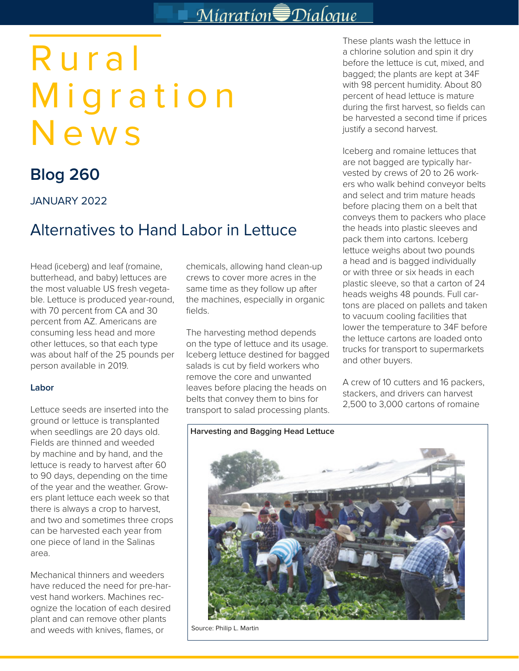## Migration Dialogue

# Rural Migration News

## **Blog 260**

JANUARY 2022

### Alternatives to Hand Labor in Lettuce

Head (iceberg) and leaf (romaine, butterhead, and baby) lettuces are the most valuable US fresh vegetable. Lettuce is produced year-round, with 70 percent from CA and 30 percent from AZ. Americans are consuming less head and more other lettuces, so that each type was about half of the 25 pounds per person available in 2019.

#### **Labor**

Lettuce seeds are inserted into the ground or lettuce is transplanted when seedlings are 20 days old. Fields are thinned and weeded by machine and by hand, and the lettuce is ready to harvest after 60 to 90 days, depending on the time of the year and the weather. Growers plant lettuce each week so that there is always a crop to harvest, and two and sometimes three crops can be harvested each year from one piece of land in the Salinas area.

Mechanical thinners and weeders have reduced the need for pre-harvest hand workers. Machines recognize the location of each desired plant and can remove other plants and weeds with knives, flames, or

chemicals, allowing hand clean-up crews to cover more acres in the same time as they follow up after the machines, especially in organic fields.

The harvesting method depends on the type of lettuce and its usage. Iceberg lettuce destined for bagged salads is cut by field workers who remove the core and unwanted leaves before placing the heads on belts that convey them to bins for transport to salad processing plants. These plants wash the lettuce in a chlorine solution and spin it dry before the lettuce is cut, mixed, and bagged; the plants are kept at 34F with 98 percent humidity. About 80 percent of head lettuce is mature during the first harvest, so fields can be harvested a second time if prices justify a second harvest.

Iceberg and romaine lettuces that are not bagged are typically harvested by crews of 20 to 26 workers who walk behind conveyor belts and select and trim mature heads before placing them on a belt that conveys them to packers who place the heads into plastic sleeves and pack them into cartons. Iceberg lettuce weighs about two pounds a head and is bagged individually or with three or six heads in each plastic sleeve, so that a carton of 24 heads weighs 48 pounds. Full cartons are placed on pallets and taken to vacuum cooling facilities that lower the temperature to 34F before the lettuce cartons are loaded onto trucks for transport to supermarkets and other buyers.

A crew of 10 cutters and 16 packers, stackers, and drivers can harvest 2,500 to 3,000 cartons of romaine



Source: Philip L. Martin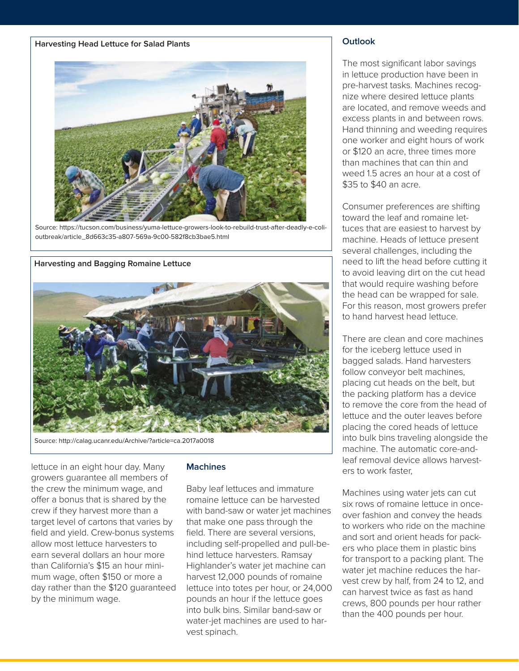#### **Harvesting Head Lettuce for Salad Plants**



Source: https://tucson.com/business/yuma-lettuce-growers-look-to-rebuild-trust-after-deadly-e-colioutbreak/article\_8d663c35-a807-569a-9c00-582f8cb3bae5.html



Source: http://calag.ucanr.edu/Archive/?article=ca.2017a0018

lettuce in an eight hour day. Many growers guarantee all members of the crew the minimum wage, and offer a bonus that is shared by the crew if they harvest more than a target level of cartons that varies by field and yield. Crew-bonus systems allow most lettuce harvesters to earn several dollars an hour more than California's \$15 an hour minimum wage, often \$150 or more a day rather than the \$120 guaranteed by the minimum wage.

#### **Machines**

Baby leaf lettuces and immature romaine lettuce can be harvested with band-saw or water jet machines that make one pass through the field. There are several versions, including self-propelled and pull-behind lettuce harvesters. Ramsay Highlander's water jet machine can harvest 12,000 pounds of romaine lettuce into totes per hour, or 24,000 pounds an hour if the lettuce goes into bulk bins. Similar band-saw or water-jet machines are used to harvest spinach.

#### **Outlook**

The most significant labor savings in lettuce production have been in pre-harvest tasks. Machines recognize where desired lettuce plants are located, and remove weeds and excess plants in and between rows. Hand thinning and weeding requires one worker and eight hours of work or \$120 an acre, three times more than machines that can thin and weed 1.5 acres an hour at a cost of \$35 to \$40 an acre.

Consumer preferences are shifting toward the leaf and romaine lettuces that are easiest to harvest by machine. Heads of lettuce present several challenges, including the need to lift the head before cutting it to avoid leaving dirt on the cut head that would require washing before the head can be wrapped for sale. For this reason, most growers prefer to hand harvest head lettuce.

There are clean and core machines for the iceberg lettuce used in bagged salads. Hand harvesters follow conveyor belt machines, placing cut heads on the belt, but the packing platform has a device to remove the core from the head of lettuce and the outer leaves before placing the cored heads of lettuce into bulk bins traveling alongside the machine. The automatic core-andleaf removal device allows harvesters to work faster,

Machines using water jets can cut six rows of romaine lettuce in onceover fashion and convey the heads to workers who ride on the machine and sort and orient heads for packers who place them in plastic bins for transport to a packing plant. The water jet machine reduces the harvest crew by half, from 24 to 12, and can harvest twice as fast as hand crews, 800 pounds per hour rather than the 400 pounds per hour.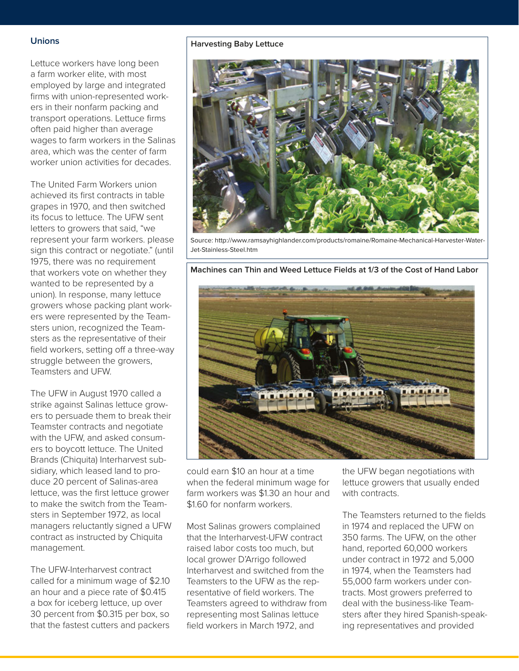#### **Unions**

Lettuce workers have long been a farm worker elite, with most employed by large and integrated firms with union-represented workers in their nonfarm packing and transport operations. Lettuce firms often paid higher than average wages to farm workers in the Salinas area, which was the center of farm worker union activities for decades.

The United Farm Workers union achieved its first contracts in table grapes in 1970, and then switched its focus to lettuce. The UFW sent letters to growers that said, "we represent your farm workers. please sign this contract or negotiate." (until 1975, there was no requirement that workers vote on whether they wanted to be represented by a union). In response, many lettuce growers whose packing plant workers were represented by the Teamsters union, recognized the Teamsters as the representative of their field workers, setting off a three-way struggle between the growers, Teamsters and UFW.

The UFW in August 1970 called a strike against Salinas lettuce growers to persuade them to break their Teamster contracts and negotiate with the UFW, and asked consumers to boycott lettuce. The United Brands (Chiquita) Interharvest subsidiary, which leased land to produce 20 percent of Salinas-area lettuce, was the first lettuce grower to make the switch from the Teamsters in September 1972, as local managers reluctantly signed a UFW contract as instructed by Chiquita management.

The UFW-Interharvest contract called for a minimum wage of \$2.10 an hour and a piece rate of \$0.415 a box for iceberg lettuce, up over 30 percent from \$0.315 per box, so that the fastest cutters and packers

#### **Harvesting Baby Lettuce**



Source: http://www.ramsayhighlander.com/products/romaine/Romaine-Mechanical-Harvester-Water-Jet-Stainless-Steel.htm

**Machines can Thin and Weed Lettuce Fields at 1/3 of the Cost of Hand Labor**



could earn \$10 an hour at a time when the federal minimum wage for farm workers was \$1.30 an hour and \$1.60 for nonfarm workers.

Most Salinas growers complained that the Interharvest-UFW contract raised labor costs too much, but local grower D'Arrigo followed Interharvest and switched from the Teamsters to the UFW as the representative of field workers. The Teamsters agreed to withdraw from representing most Salinas lettuce field workers in March 1972, and

the UFW began negotiations with lettuce growers that usually ended with contracts.

The Teamsters returned to the fields in 1974 and replaced the UFW on 350 farms. The UFW, on the other hand, reported 60,000 workers under contract in 1972 and 5,000 in 1974, when the Teamsters had 55,000 farm workers under contracts. Most growers preferred to deal with the business-like Teamsters after they hired Spanish-speaking representatives and provided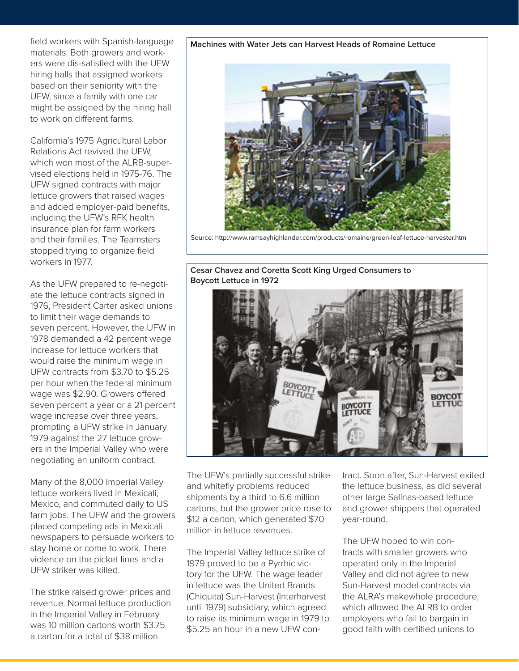field workers with Spanish-language materials. Both growers and workers were dis-satisfied with the UFW hiring halls that assigned workers based on their seniority with the UFW, since a family with one car might be assigned by the hiring hall to work on different farms.

California's 1975 Agricultural Labor Relations Act revived the UFW, which won most of the ALRB-supervised elections held in 1975-76. The UFW signed contracts with major lettuce growers that raised wages and added employer-paid benefits, including the UFW's RFK health insurance plan for farm workers and their families. The Teamsters stopped trying to organize field workers in 1977.

As the UFW prepared to re-negotiate the lettuce contracts signed in 1976, President Carter asked unions to limit their wage demands to seven percent. However, the UFW in 1978 demanded a 42 percent wage increase for lettuce workers that would raise the minimum wage in UFW contracts from \$3.70 to \$5.25 per hour when the federal minimum wage was \$2.90. Growers offered seven percent a year or a 21 percent wage increase over three years, prompting a UFW strike in January 1979 against the 27 lettuce growers in the Imperial Valley who were negotiating an uniform contract.

Many of the 8,000 Imperial Valley lettuce workers lived in Mexicali, Mexico, and commuted daily to US farm jobs. The UFW and the growers placed competing ads in Mexicali newspapers to persuade workers to stay home or come to work. There violence on the picket lines and a UFW striker was killed.

The strike raised grower prices and revenue. Normal lettuce production in the Imperial Valley in February was 10 million cartons worth \$3.75 a carton for a total of \$38 million.

#### **Machines with Water Jets can Harvest Heads of Romaine Lettuce**



Source: http://www.ramsayhighlander.com/products/romaine/green-leaf-lettuce-harvester.htm

**Cesar Chavez and Coretta Scott King Urged Consumers to Boycott Lettuce in 1972** 



The UFW's partially successful strike and whitefly problems reduced shipments by a third to 6.6 million cartons, but the grower price rose to \$12 a carton, which generated \$70 million in lettuce revenues.

The Imperial Valley lettuce strike of 1979 proved to be a Pyrrhic victory for the UFW. The wage leader in lettuce was the United Brands (Chiquita) Sun-Harvest (Interharvest until 1979) subsidiary, which agreed to raise its minimum wage in 1979 to \$5.25 an hour in a new UFW contract. Soon after, Sun-Harvest exited the lettuce business, as did several other large Salinas-based lettuce and grower shippers that operated year-round.

The UFW hoped to win contracts with smaller growers who operated only in the Imperial Valley and did not agree to new Sun-Harvest model contracts via the ALRA's makewhole procedure, which allowed the ALRB to order employers who fail to bargain in good faith with certified unions to